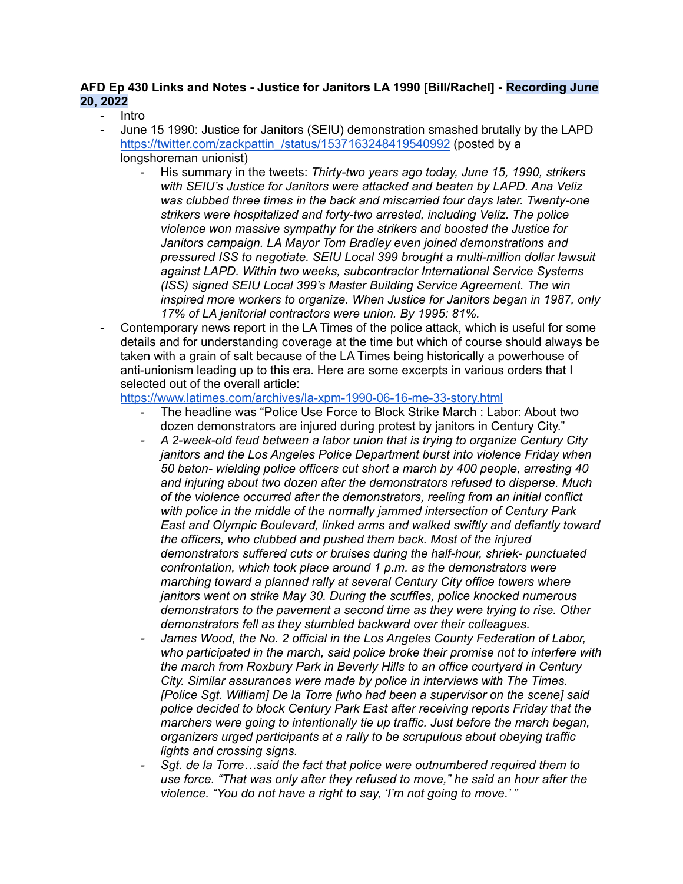## **AFD Ep 430 Links and Notes - Justice for Janitors LA 1990 [Bill/Rachel] - Recording June 20, 2022**

- Intro
	- June 15 1990: Justice for Janitors (SEIU) demonstration smashed brutally by the LAPD https://twitter.com/zackpattin /status/1537163248419540992 (posted by a longshoreman unionist)
		- His summary in the tweets: *Thirty-two years ago today, June 15, 1990, strikers with SEIU's Justice for Janitors were attacked and beaten by LAPD. Ana Veliz was clubbed three times in the back and miscarried four days later. Twenty-one strikers were hospitalized and forty-two arrested, including Veliz. The police violence won massive sympathy for the strikers and boosted the Justice for Janitors campaign. LA Mayor Tom Bradley even joined demonstrations and pressured ISS to negotiate. SEIU Local 399 brought a multi-million dollar lawsuit against LAPD. Within two weeks, subcontractor International Service Systems (ISS) signed SEIU Local 399's Master Building Service Agreement. The win inspired more workers to organize. When Justice for Janitors began in 1987, only 17% of LA janitorial contractors were union. By 1995: 81%.*
- Contemporary news report in the LA Times of the police attack, which is useful for some details and for understanding coverage at the time but which of course should always be taken with a grain of salt because of the LA Times being historically a powerhouse of anti-unionism leading up to this era. Here are some excerpts in various orders that I selected out of the overall article:

<https://www.latimes.com/archives/la-xpm-1990-06-16-me-33-story.html>

- The headline was "Police Use Force to Block Strike March : Labor: About two dozen demonstrators are injured during protest by janitors in Century City."
- *- A 2-week-old feud between a labor union that is trying to organize Century City janitors and the Los Angeles Police Department burst into violence Friday when 50 baton- wielding police officers cut short a march by 400 people, arresting 40 and injuring about two dozen after the demonstrators refused to disperse. Much of the violence occurred after the demonstrators, reeling from an initial conflict with police in the middle of the normally jammed intersection of Century Park East and Olympic Boulevard, linked arms and walked swiftly and defiantly toward the officers, who clubbed and pushed them back. Most of the injured demonstrators suffered cuts or bruises during the half-hour, shriek- punctuated confrontation, which took place around 1 p.m. as the demonstrators were marching toward a planned rally at several Century City office towers where janitors went on strike May 30. During the scuffles, police knocked numerous demonstrators to the pavement a second time as they were trying to rise. Other demonstrators fell as they stumbled backward over their colleagues.*
- *- James Wood, the No. 2 official in the Los Angeles County Federation of Labor, who participated in the march, said police broke their promise not to interfere with the march from Roxbury Park in Beverly Hills to an office courtyard in Century City. Similar assurances were made by police in interviews with The Times. [Police Sgt. William] De la Torre [who had been a supervisor on the scene] said police decided to block Century Park East after receiving reports Friday that the marchers were going to intentionally tie up traffic. Just before the march began, organizers urged participants at a rally to be scrupulous about obeying traffic lights and crossing signs.*
- *- Sgt. de la Torre…said the fact that police were outnumbered required them to use force. "That was only after they refused to move," he said an hour after the violence. "You do not have a right to say, 'I'm not going to move.' "*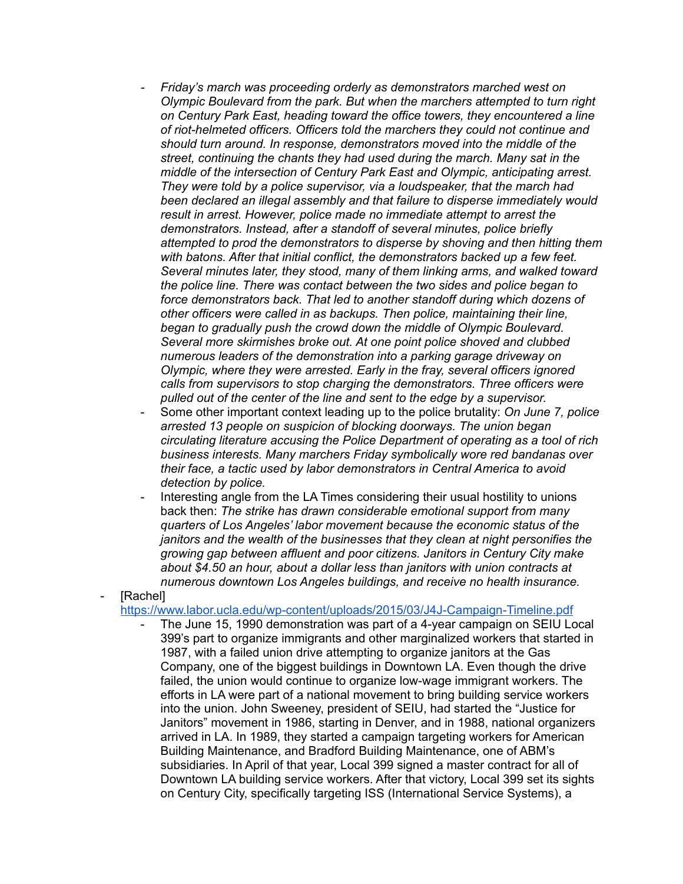- *- Friday's march was proceeding orderly as demonstrators marched west on Olympic Boulevard from the park. But when the marchers attempted to turn right on Century Park East, heading toward the office towers, they encountered a line of riot-helmeted officers. Officers told the marchers they could not continue and should turn around. In response, demonstrators moved into the middle of the street, continuing the chants they had used during the march. Many sat in the middle of the intersection of Century Park East and Olympic, anticipating arrest. They were told by a police supervisor, via a loudspeaker, that the march had been declared an illegal assembly and that failure to disperse immediately would result in arrest. However, police made no immediate attempt to arrest the demonstrators. Instead, after a standoff of several minutes, police briefly attempted to prod the demonstrators to disperse by shoving and then hitting them with batons. After that initial conflict, the demonstrators backed up a few feet. Several minutes later, they stood, many of them linking arms, and walked toward the police line. There was contact between the two sides and police began to force demonstrators back. That led to another standoff during which dozens of other officers were called in as backups. Then police, maintaining their line, began to gradually push the crowd down the middle of Olympic Boulevard. Several more skirmishes broke out. At one point police shoved and clubbed numerous leaders of the demonstration into a parking garage driveway on Olympic, where they were arrested. Early in the fray, several officers ignored calls from supervisors to stop charging the demonstrators. Three officers were pulled out of the center of the line and sent to the edge by a supervisor.*
- Some other important context leading up to the police brutality: *On June 7, police arrested 13 people on suspicion of blocking doorways. The union began circulating literature accusing the Police Department of operating as a tool of rich business interests. Many marchers Friday symbolically wore red bandanas over their face, a tactic used by labor demonstrators in Central America to avoid detection by police.*
- Interesting angle from the LA Times considering their usual hostility to unions back then: *The strike has drawn considerable emotional support from many quarters of Los Angeles' labor movement because the economic status of the janitors and the wealth of the businesses that they clean at night personifies the growing gap between affluent and poor citizens. Janitors in Century City make about \$4.50 an hour, about a dollar less than janitors with union contracts at numerous downtown Los Angeles buildings, and receive no health insurance.*

[Rachel]

<https://www.labor.ucla.edu/wp-content/uploads/2015/03/J4J-Campaign-Timeline.pdf>

The June 15, 1990 demonstration was part of a 4-year campaign on SEIU Local 399's part to organize immigrants and other marginalized workers that started in 1987, with a failed union drive attempting to organize janitors at the Gas Company, one of the biggest buildings in Downtown LA. Even though the drive failed, the union would continue to organize low-wage immigrant workers. The efforts in LA were part of a national movement to bring building service workers into the union. John Sweeney, president of SEIU, had started the "Justice for Janitors" movement in 1986, starting in Denver, and in 1988, national organizers arrived in LA. In 1989, they started a campaign targeting workers for American Building Maintenance, and Bradford Building Maintenance, one of ABM's subsidiaries. In April of that year, Local 399 signed a master contract for all of Downtown LA building service workers. After that victory, Local 399 set its sights on Century City, specifically targeting ISS (International Service Systems), a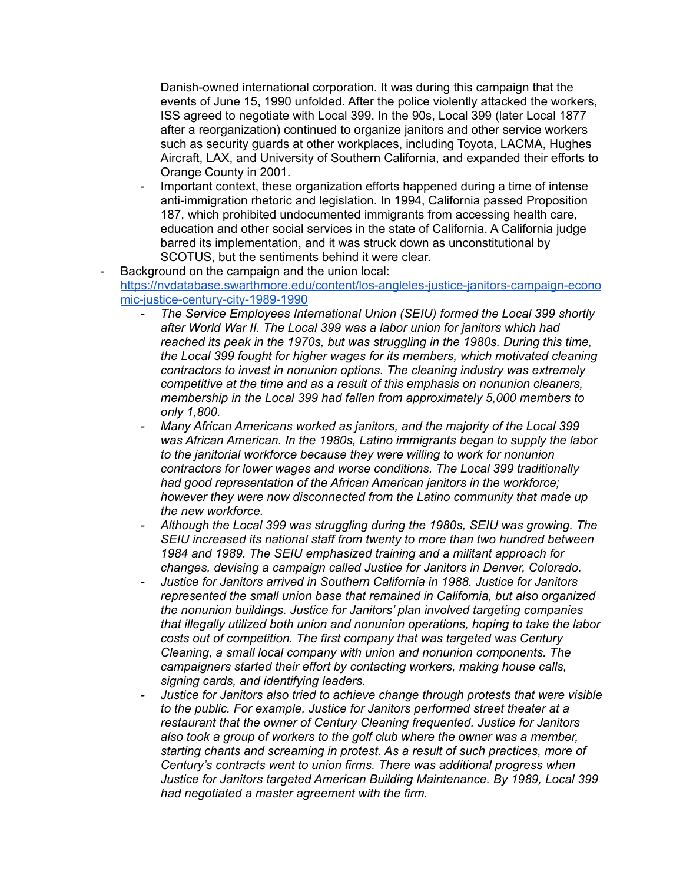Danish-owned international corporation. It was during this campaign that the events of June 15, 1990 unfolded. After the police violently attacked the workers, ISS agreed to negotiate with Local 399. In the 90s, Local 399 (later Local 1877 after a reorganization) continued to organize janitors and other service workers such as security guards at other workplaces, including Toyota, LACMA, Hughes Aircraft, LAX, and University of Southern California, and expanded their efforts to Orange County in 2001.

- Important context, these organization efforts happened during a time of intense anti-immigration rhetoric and legislation. In 1994, California passed Proposition 187, which prohibited undocumented immigrants from accessing health care, education and other social services in the state of California. A California judge barred its implementation, and it was struck down as unconstitutional by SCOTUS, but the sentiments behind it were clear.
- Background on the campaign and the union local: [https://nvdatabase.swarthmore.edu/content/los-angleles-justice-janitors-campaign-econo](https://nvdatabase.swarthmore.edu/content/los-angleles-justice-janitors-campaign-economic-justice-century-city-1989-1990) [mic-justice-century-city-1989-1990](https://nvdatabase.swarthmore.edu/content/los-angleles-justice-janitors-campaign-economic-justice-century-city-1989-1990)
	- *- The Service Employees International Union (SEIU) formed the Local 399 shortly after World War II. The Local 399 was a labor union for janitors which had reached its peak in the 1970s, but was struggling in the 1980s. During this time, the Local 399 fought for higher wages for its members, which motivated cleaning contractors to invest in nonunion options. The cleaning industry was extremely competitive at the time and as a result of this emphasis on nonunion cleaners, membership in the Local 399 had fallen from approximately 5,000 members to only 1,800.*
	- *- Many African Americans worked as janitors, and the majority of the Local 399 was African American. In the 1980s, Latino immigrants began to supply the labor to the janitorial workforce because they were willing to work for nonunion contractors for lower wages and worse conditions. The Local 399 traditionally had good representation of the African American janitors in the workforce; however they were now disconnected from the Latino community that made up the new workforce.*
	- *- Although the Local 399 was struggling during the 1980s, SEIU was growing. The SEIU increased its national staff from twenty to more than two hundred between 1984 and 1989. The SEIU emphasized training and a militant approach for changes, devising a campaign called Justice for Janitors in Denver, Colorado.*
	- *- Justice for Janitors arrived in Southern California in 1988. Justice for Janitors represented the small union base that remained in California, but also organized the nonunion buildings. Justice for Janitors' plan involved targeting companies that illegally utilized both union and nonunion operations, hoping to take the labor costs out of competition. The first company that was targeted was Century Cleaning, a small local company with union and nonunion components. The campaigners started their effort by contacting workers, making house calls, signing cards, and identifying leaders.*
	- *- Justice for Janitors also tried to achieve change through protests that were visible to the public. For example, Justice for Janitors performed street theater at a restaurant that the owner of Century Cleaning frequented. Justice for Janitors also took a group of workers to the golf club where the owner was a member, starting chants and screaming in protest. As a result of such practices, more of Century's contracts went to union firms. There was additional progress when Justice for Janitors targeted American Building Maintenance. By 1989, Local 399 had negotiated a master agreement with the firm.*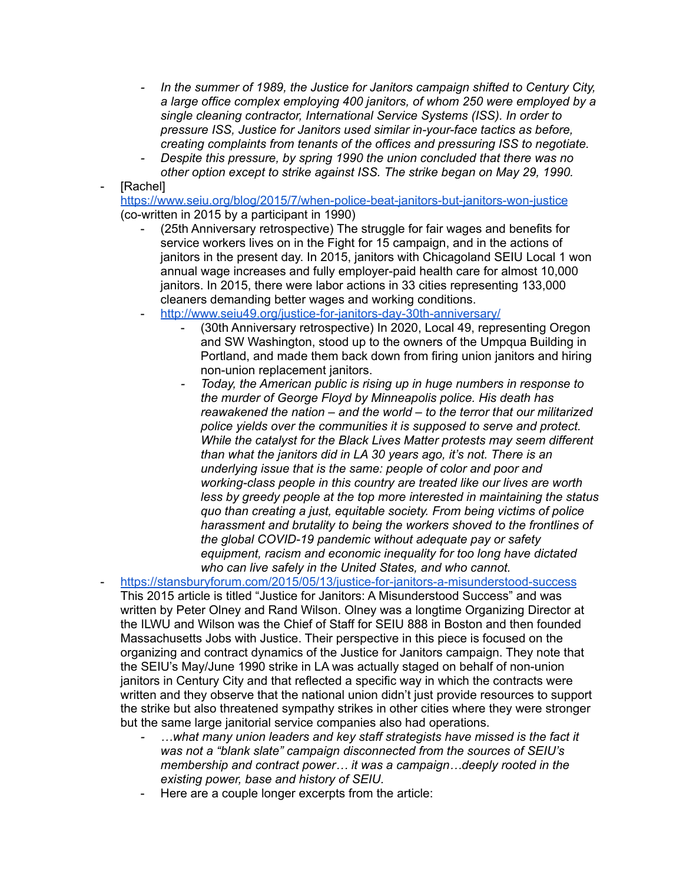- *- In the summer of 1989, the Justice for Janitors campaign shifted to Century City, a large office complex employing 400 janitors, of whom 250 were employed by a single cleaning contractor, International Service Systems (ISS). In order to pressure ISS, Justice for Janitors used similar in-your-face tactics as before, creating complaints from tenants of the offices and pressuring ISS to negotiate.*
- *- Despite this pressure, by spring 1990 the union concluded that there was no other option except to strike against ISS. The strike began on May 29, 1990.*
- [Rachel]

<https://www.seiu.org/blog/2015/7/when-police-beat-janitors-but-janitors-won-justice> (co-written in 2015 by a participant in 1990)

- (25th Anniversary retrospective) The struggle for fair wages and benefits for service workers lives on in the Fight for 15 campaign, and in the actions of janitors in the present day. In 2015, janitors with Chicagoland SEIU Local 1 won annual wage increases and fully employer-paid health care for almost 10,000 janitors. In 2015, there were labor actions in 33 cities representing 133,000 cleaners demanding better wages and working conditions.
- <http://www.seiu49.org/justice-for-janitors-day-30th-anniversary/>
	- (30th Anniversary retrospective) In 2020, Local 49, representing Oregon and SW Washington, stood up to the owners of the Umpqua Building in Portland, and made them back down from firing union janitors and hiring non-union replacement janitors.
	- *- Today, the American public is rising up in huge numbers in response to the murder of George Floyd by Minneapolis police. His death has reawakened the nation – and the world – to the terror that our militarized police yields over the communities it is supposed to serve and protect. While the catalyst for the Black Lives Matter protests may seem different than what the janitors did in LA 30 years ago, it's not. There is an underlying issue that is the same: people of color and poor and working-class people in this country are treated like our lives are worth less by greedy people at the top more interested in maintaining the status quo than creating a just, equitable society. From being victims of police harassment and brutality to being the workers shoved to the frontlines of the global COVID-19 pandemic without adequate pay or safety equipment, racism and economic inequality for too long have dictated who can live safely in the United States, and who cannot.*
- <https://stansburyforum.com/2015/05/13/justice-for-janitors-a-misunderstood-success> This 2015 article is titled "Justice for Janitors: A Misunderstood Success" and was written by Peter Olney and Rand Wilson. Olney was a longtime Organizing Director at the ILWU and Wilson was the Chief of Staff for SEIU 888 in Boston and then founded Massachusetts Jobs with Justice. Their perspective in this piece is focused on the organizing and contract dynamics of the Justice for Janitors campaign. They note that the SEIU's May/June 1990 strike in LA was actually staged on behalf of non-union janitors in Century City and that reflected a specific way in which the contracts were written and they observe that the national union didn't just provide resources to support the strike but also threatened sympathy strikes in other cities where they were stronger but the same large janitorial service companies also had operations.
	- *- …what many union leaders and key staff strategists have missed is the fact it was not a "blank slate" campaign disconnected from the sources of SEIU's membership and contract power… it was a campaign…deeply rooted in the existing power, base and history of SEIU.*
	- Here are a couple longer excerpts from the article: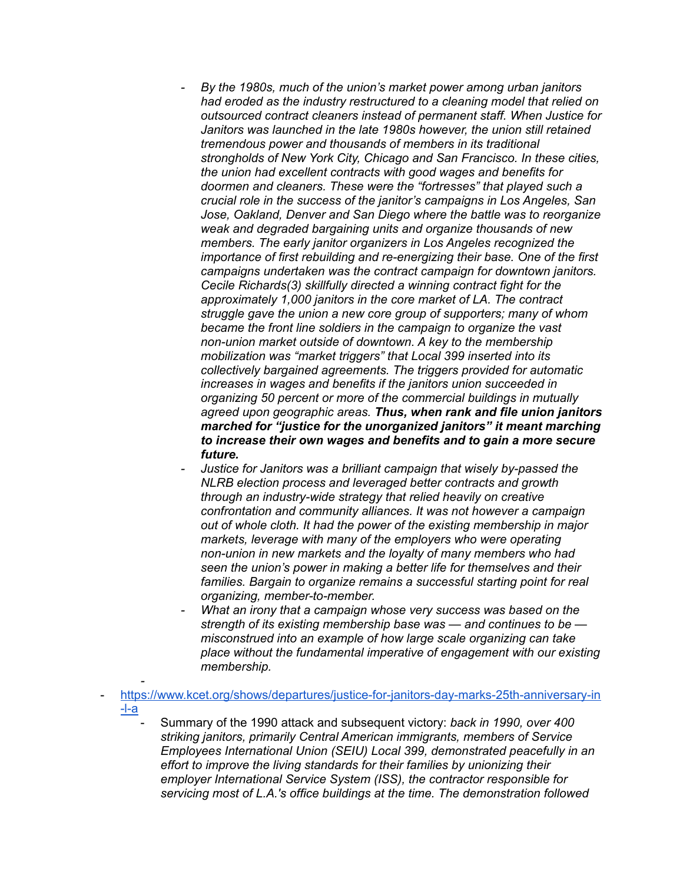- *- By the 1980s, much of the union's market power among urban janitors had eroded as the industry restructured to a cleaning model that relied on outsourced contract cleaners instead of permanent staff. When Justice for Janitors was launched in the late 1980s however, the union still retained tremendous power and thousands of members in its traditional strongholds of New York City, Chicago and San Francisco. In these cities, the union had excellent contracts with good wages and benefits for doormen and cleaners. These were the "fortresses" that played such a crucial role in the success of the janitor's campaigns in Los Angeles, San Jose, Oakland, Denver and San Diego where the battle was to reorganize weak and degraded bargaining units and organize thousands of new members. The early janitor organizers in Los Angeles recognized the importance of first rebuilding and re-energizing their base. One of the first campaigns undertaken was the contract campaign for downtown janitors. Cecile Richards(3) skillfully directed a winning contract fight for the approximately 1,000 janitors in the core market of LA. The contract struggle gave the union a new core group of supporters; many of whom became the front line soldiers in the campaign to organize the vast non-union market outside of downtown. A key to the membership mobilization was "market triggers" that Local 399 inserted into its collectively bargained agreements. The triggers provided for automatic increases in wages and benefits if the janitors union succeeded in organizing 50 percent or more of the commercial buildings in mutually agreed upon geographic areas. Thus, when rank and file union janitors marched for "justice for the unorganized janitors" it meant marching to increase their own wages and benefits and to gain a more secure future.*
- *- Justice for Janitors was a brilliant campaign that wisely by-passed the NLRB election process and leveraged better contracts and growth through an industry-wide strategy that relied heavily on creative confrontation and community alliances. It was not however a campaign out of whole cloth. It had the power of the existing membership in major markets, leverage with many of the employers who were operating non-union in new markets and the loyalty of many members who had seen the union's power in making a better life for themselves and their families. Bargain to organize remains a successful starting point for real organizing, member-to-member.*
- *- What an irony that a campaign whose very success was based on the strength of its existing membership base was — and continues to be misconstrued into an example of how large scale organizing can take place without the fundamental imperative of engagement with our existing membership.*
- [https://www.kcet.org/shows/departures/justice-for-janitors-day-marks-25th-anniversary-in](https://www.kcet.org/shows/departures/justice-for-janitors-day-marks-25th-anniversary-in-l-a) [-l-a](https://www.kcet.org/shows/departures/justice-for-janitors-day-marks-25th-anniversary-in-l-a)

*-*

- Summary of the 1990 attack and subsequent victory: *back in 1990, over 400 striking janitors, primarily Central American immigrants, members of Service Employees International Union (SEIU) Local 399, demonstrated peacefully in an effort to improve the living standards for their families by unionizing their employer International Service System (ISS), the contractor responsible for servicing most of L.A.'s office buildings at the time. The demonstration followed*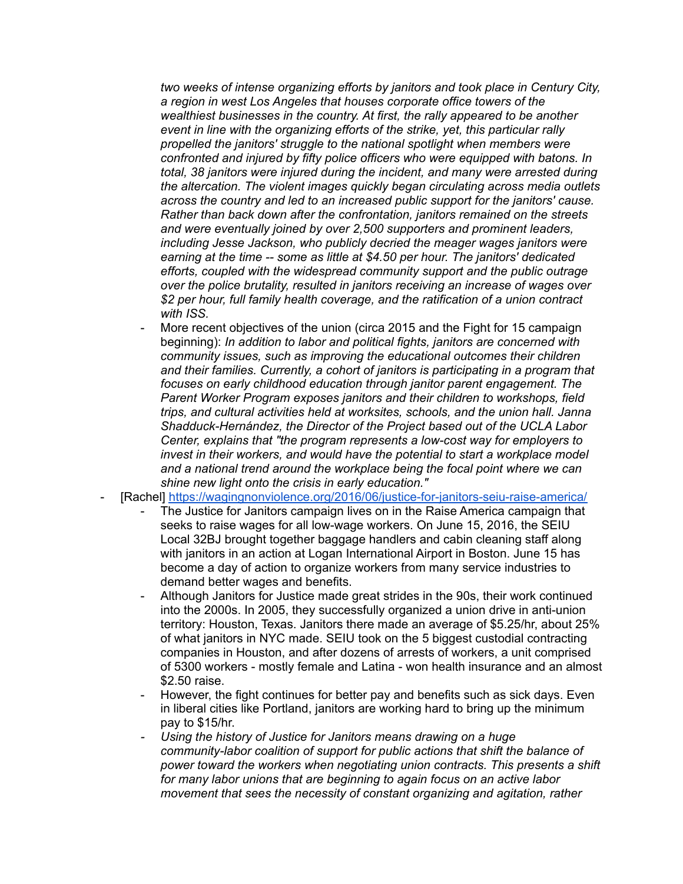*two weeks of intense organizing efforts by janitors and took place in Century City, a region in west Los Angeles that houses corporate office towers of the wealthiest businesses in the country. At first, the rally appeared to be another event in line with the organizing efforts of the strike, yet, this particular rally propelled the janitors' struggle to the national spotlight when members were confronted and injured by fifty police officers who were equipped with batons. In total, 38 janitors were injured during the incident, and many were arrested during the altercation. The violent images quickly began circulating across media outlets across the country and led to an increased public support for the janitors' cause. Rather than back down after the confrontation, janitors remained on the streets and were eventually joined by over 2,500 supporters and prominent leaders, including Jesse Jackson, who publicly decried the meager wages janitors were earning at the time -- some as little at \$4.50 per hour. The janitors' dedicated efforts, coupled with the widespread community support and the public outrage over the police brutality, resulted in janitors receiving an increase of wages over \$2 per hour, full family health coverage, and the ratification of a union contract with ISS.*

- More recent objectives of the union (circa 2015 and the Fight for 15 campaign beginning): *In addition to labor and political fights, janitors are concerned with community issues, such as improving the educational outcomes their children and their families. Currently, a cohort of janitors is participating in a program that focuses on early childhood education through janitor parent engagement. The Parent Worker Program exposes janitors and their children to workshops, field trips, and cultural activities held at worksites, schools, and the union hall. Janna Shadduck-Hernández, the Director of the Project based out of the UCLA Labor Center, explains that "the program represents a low-cost way for employers to invest in their workers, and would have the potential to start a workplace model and a national trend around the workplace being the focal point where we can shine new light onto the crisis in early education."*
- [Rachel] <https://wagingnonviolence.org/2016/06/justice-for-janitors-seiu-raise-america/>
	- The Justice for Janitors campaign lives on in the Raise America campaign that seeks to raise wages for all low-wage workers. On June 15, 2016, the SEIU Local 32BJ brought together baggage handlers and cabin cleaning staff along with janitors in an action at Logan International Airport in Boston. June 15 has become a day of action to organize workers from many service industries to demand better wages and benefits.
	- Although Janitors for Justice made great strides in the 90s, their work continued into the 2000s. In 2005, they successfully organized a union drive in anti-union territory: Houston, Texas. Janitors there made an average of \$5.25/hr, about 25% of what janitors in NYC made. SEIU took on the 5 biggest custodial contracting companies in Houston, and after dozens of arrests of workers, a unit comprised of 5300 workers - mostly female and Latina - won health insurance and an almost \$2.50 raise.
	- However, the fight continues for better pay and benefits such as sick days. Even in liberal cities like Portland, janitors are working hard to bring up the minimum pay to \$15/hr.
	- *- Using the history of Justice for Janitors means drawing on a huge community-labor coalition of support for public actions that shift the balance of power toward the workers when negotiating union contracts. This presents a shift for many labor unions that are beginning to again focus on an active labor movement that sees the necessity of constant organizing and agitation, rather*